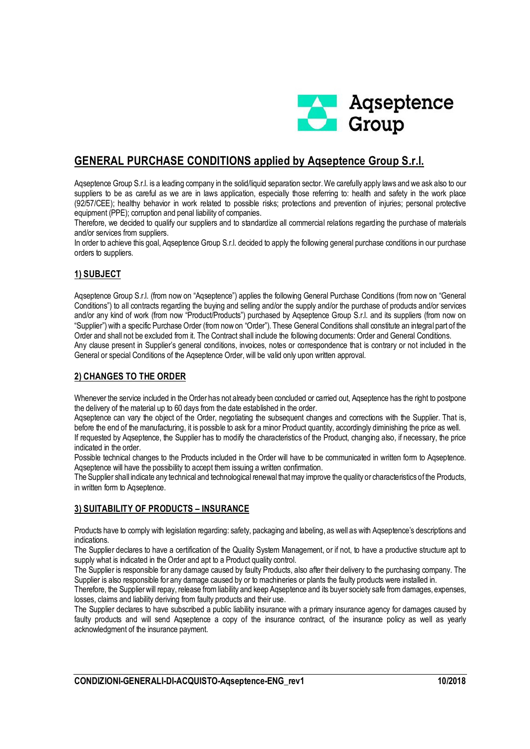

# **GENERAL PURCHASE CONDITIONS applied by Aqseptence Group S.r.l.**

Aqseptence Group S.r.l. is a leading company in the solid/liquid separation sector. We carefully apply laws and we ask also to our suppliers to be as careful as we are in laws application, especially those referring to: health and safety in the work place (92/57/CEE); healthy behavior in work related to possible risks; protections and prevention of injuries; personal protective equipment (PPE); corruption and penal liability of companies.

Therefore, we decided to qualify our suppliers and to standardize all commercial relations regarding the purchase of materials and/or services from suppliers.

In order to achieve this goal, Aqseptence Group S.r.l. decided to apply the following general purchase conditions in our purchase orders to suppliers.

## **1) SUBJECT**

Aqseptence Group S.r.l. (from now on "Aqseptence") applies the following General Purchase Conditions (from now on "General Conditions") to all contracts regarding the buying and selling and/or the supply and/or the purchase of products and/or services and/or any kind of work (from now "Product/Products") purchased by Aqseptence Group S.r.l. and its suppliers (from now on "Supplier") with a specific Purchase Order (from now on "Order"). These General Conditions shall constitute an integral part of the Order and shall not be excluded from it. The Contract shall include the following documents: Order and General Conditions. Any clause present in Supplier's general conditions, invoices, notes or correspondence that is contrary or not included in the General or special Conditions of the Aqseptence Order, will be valid only upon written approval.

#### **2) CHANGES TO THE ORDER**

Whenever the service included in the Order has not already been concluded or carried out. Agseptence has the right to postpone the delivery of the material up to 60 days from the date established in the order.

Aqseptence can vary the object of the Order, negotiating the subsequent changes and corrections with the Supplier. That is, before the end of the manufacturing, it is possible to ask for a minor Product quantity, accordingly diminishing the price as well. If requested by Aqseptence, the Supplier has to modify the characteristics of the Product, changing also, if necessary, the price

indicated in the order.

Possible technical changes to the Products included in the Order will have to be communicated in written form to Aqseptence. Aqseptence will have the possibility to accept them issuing a written confirmation.

The Supplier shall indicate any technical and technological renewal that may improve the quality or characteristics of the Products, in written form to Aqseptence.

### **3) SUITABILITY OF PRODUCTS – INSURANCE**

Products have to comply with legislation regarding: safety, packaging and labeling, as well as with Aqseptence's descriptions and indications.

The Supplier declares to have a certification of the Quality System Management, or if not, to have a productive structure apt to supply what is indicated in the Order and apt to a Product quality control.

The Supplier is responsible for any damage caused by faulty Products, also after their delivery to the purchasing company. The Supplier is also responsible for any damage caused by or to machineries or plants the faulty products were installed in.

Therefore, the Supplier will repay, release from liability and keep Aqseptence and its buyer society safe from damages, expenses, losses, claims and liability deriving from faulty products and their use.

The Supplier declares to have subscribed a public liability insurance with a primary insurance agency for damages caused by faulty products and will send Aqseptence a copy of the insurance contract, of the insurance policy as well as yearly acknowledgment of the insurance payment.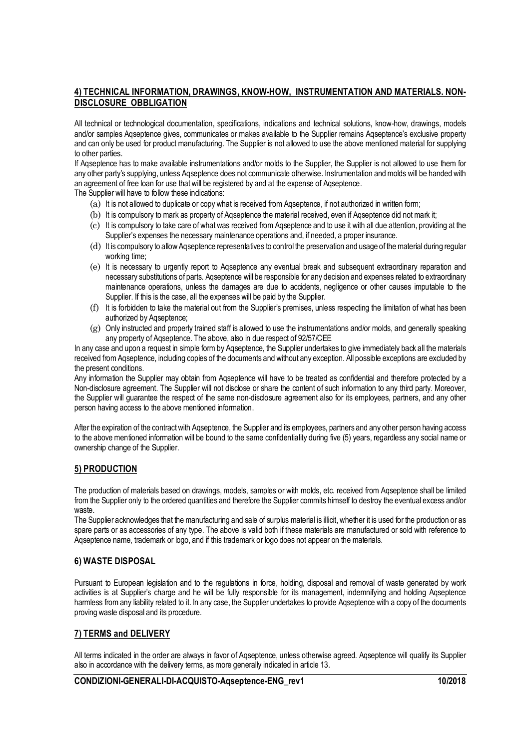#### **4) TECHNICAL INFORMATION, DRAWINGS, KNOW-HOW, INSTRUMENTATION AND MATERIALS. NON-DISCLOSURE OBBLIGATION**

All technical or technological documentation, specifications, indications and technical solutions, know-how, drawings, models and/or samples Aqseptence gives, communicates or makes available to the Supplier remains Aqseptence's exclusive property and can only be used for product manufacturing. The Supplier is not allowed to use the above mentioned material for supplying to other parties.

If Agseptence has to make available instrumentations and/or molds to the Supplier, the Supplier is not allowed to use them for any other party's supplying, unless Aqseptence does not communicate otherwise. Instrumentation and molds will be handed with an agreement of free loan for use that will be registered by and at the expense of Aqseptence.

The Supplier will have to follow these indications:

- (a) It is not allowed to duplicate or copy what is received from Aqseptence, if not authorized in written form;
- (b) It is compulsory to mark as property of Aqseptence the material received, even if Aqseptence did not mark it;
- (c) It is compulsory to take care of what was received from Aqseptence and to use it with all due attention, providing at the Supplier's expenses the necessary maintenance operations and, if needed, a proper insurance.
- (d) It is compulsory to allow Aqseptence representatives to control the preservation and usage of the material during regular working time;
- (e) It is necessary to urgently report to Aqseptence any eventual break and subsequent extraordinary reparation and necessary substitutions of parts. Aqseptence will be responsible for any decision and expenses related to extraordinary maintenance operations, unless the damages are due to accidents, negligence or other causes imputable to the Supplier. If this is the case, all the expenses will be paid by the Supplier.
- (f) It is forbidden to take the material out from the Supplier's premises, unless respecting the limitation of what has been authorized by Aqseptence;
- (g) Only instructed and properly trained staff is allowed to use the instrumentations and/or molds, and generally speaking any property of Aqseptence. The above, also in due respect of 92/57/CEE

In any case and upon a request in simple form by Aqseptence, the Supplier undertakes to give immediately back all the materials received from Aqseptence, including copies of the documents and without any exception. All possible exceptions are excluded by the present conditions.

Any information the Supplier may obtain from Aqseptence will have to be treated as confidential and therefore protected by a Non-disclosure agreement. The Supplier will not disclose or share the content of such information to any third party. Moreover, the Supplier will guarantee the respect of the same non-disclosure agreement also for its employees, partners, and any other person having access to the above mentioned information.

After the expiration of the contract with Aqseptence, the Supplier and its employees, partners and any other person having access to the above mentioned information will be bound to the same confidentiality during five (5) years, regardless any social name or ownership change of the Supplier.

#### **5) PRODUCTION**

The production of materials based on drawings, models, samples or with molds, etc. received from Aqseptence shall be limited from the Supplier only to the ordered quantities and therefore the Supplier commits himself to destroy the eventual excess and/or waste.

The Supplier acknowledges that the manufacturing and sale of surplus material is illicit, whether it is used for the production or as spare parts or as accessories of any type. The above is valid both if these materials are manufactured or sold with reference to Aqseptence name, trademark or logo, and if this trademark or logo does not appear on the materials.

#### **6) WASTE DISPOSAL**

Pursuant to European legislation and to the regulations in force, holding, disposal and removal of waste generated by work activities is at Supplier's charge and he will be fully responsible for its management, indemnifying and holding Aqseptence harmless from any liability related to it. In any case, the Supplier undertakes to provide Aqseptence with a copy of the documents proving waste disposal and its procedure.

#### **7) TERMS and DELIVERY**

All terms indicated in the order are always in favor of Aqseptence, unless otherwise agreed. Aqseptence will qualify its Supplier also in accordance with the delivery terms, as more generally indicated in article 13.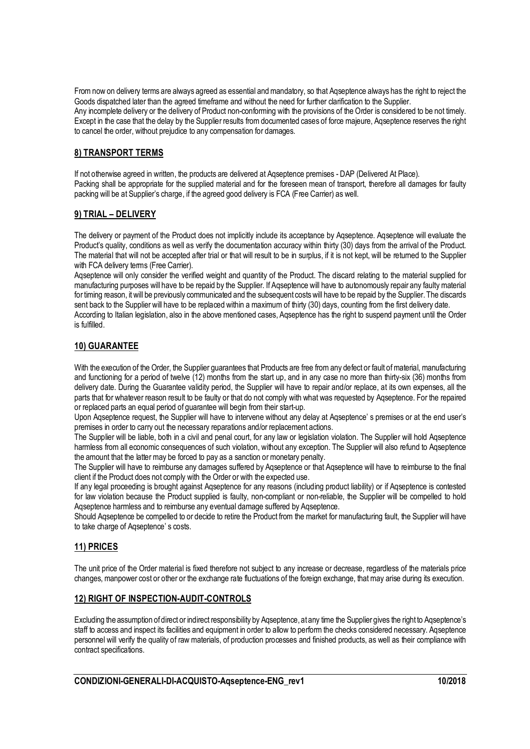From now on delivery terms are always agreed as essential and mandatory, so that Aqseptence always has the right to reject the Goods dispatched later than the agreed timeframe and without the need for further clarification to the Supplier. Any incomplete delivery or the delivery of Product non-conforming with the provisions of the Order is considered to be not timely. Except in the case that the delay by the Supplier results from documented cases of force majeure, Aqseptence reserves the right to cancel the order, without prejudice to any compensation for damages.

### **8) TRANSPORT TERMS**

If not otherwise agreed in written, the products are delivered at Aqseptence premises - DAP (Delivered At Place). Packing shall be appropriate for the supplied material and for the foreseen mean of transport, therefore all damages for faulty packing will be at Supplier's charge, if the agreed good delivery is FCA (Free Carrier) as well.

### **9) TRIAL – DELIVERY**

The delivery or payment of the Product does not implicitly include its acceptance by Agseptence. Agseptence will evaluate the Product's quality, conditions as well as verify the documentation accuracy within thirty (30) days from the arrival of the Product. The material that will not be accepted after trial or that will result to be in surplus, if it is not kept, will be returned to the Supplier with FCA delivery terms (Free Carrier).

Aqseptence will only consider the verified weight and quantity of the Product. The discard relating to the material supplied for manufacturing purposes will have to be repaid by the Supplier. If Aqseptence will have to autonomously repair any faulty material for timing reason, it will be previously communicated and the subsequent costs will have to be repaid by the Supplier. The discards sent back to the Supplier will have to be replaced within a maximum of thirty (30) days, counting from the first delivery date.

According to Italian legislation, also in the above mentioned cases, Aqseptence has the right to suspend payment until the Order is fulfilled.

### **10) GUARANTEE**

With the execution of the Order, the Supplier guarantees that Products are free from any defect or fault of material, manufacturing and functioning for a period of twelve (12) months from the start up, and in any case no more than thirty-six (36) months from delivery date. During the Guarantee validity period, the Supplier will have to repair and/or replace, at its own expenses, all the parts that for whatever reason result to be faulty or that do not comply with what was requested by Aqseptence. For the repaired or replaced parts an equal period of guarantee will begin from their start-up.

Upon Aqseptence request, the Supplier will have to intervene without any delay at Aqseptence' s premises or at the end user's premises in order to carry out the necessary reparations and/or replacement actions.

The Supplier will be liable, both in a civil and penal court, for any law or legislation violation. The Supplier will hold Aqseptence harmless from all economic consequences of such violation, without any exception. The Supplier will also refund to Aqseptence the amount that the latter may be forced to pay as a sanction or monetary penalty.

The Supplier will have to reimburse any damages suffered by Aqseptence or that Aqseptence will have to reimburse to the final client if the Product does not comply with the Order or with the expected use.

If any legal proceeding is brought against Aqseptence for any reasons (including product liability) or if Aqseptence is contested for law violation because the Product supplied is faulty, non-compliant or non-reliable, the Supplier will be compelled to hold Aqseptence harmless and to reimburse any eventual damage suffered by Aqseptence.

Should Aqseptence be compelled to or decide to retire the Product from the market for manufacturing fault, the Supplier will have to take charge of Aqseptence' s costs.

### **11) PRICES**

The unit price of the Order material is fixed therefore not subject to any increase or decrease, regardless of the materials price changes, manpower cost or other or the exchange rate fluctuations of the foreign exchange, that may arise during its execution.

### **12) RIGHT OF INSPECTION-AUDIT-CONTROLS**

Excluding the assumption of direct or indirect responsibility by Aqseptence, at any time the Supplier gives the right to Aqseptence's staff to access and inspect its facilities and equipment in order to allow to perform the checks considered necessary. Aqseptence personnel will verify the quality of raw materials, of production processes and finished products, as well as their compliance with contract specifications.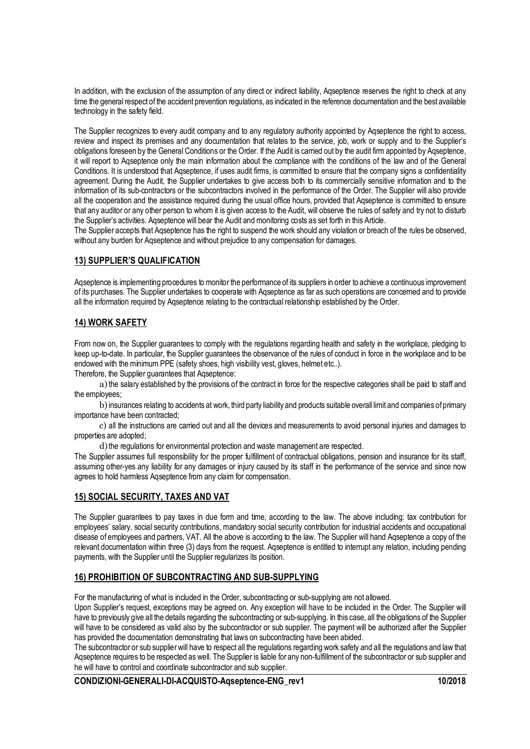In addition, with the exclusion of the assumption of any direct or indirect liability, Aqseptence reserves the right to check at any time the general respect of the accident prevention regulations, as indicated in the reference documentation and the best available technology in the safety field.

The Supplier recognizes to every audit company and to any regulatory authority appointed by Aqseptence the right to access, review and inspect its premises and any documentation that relates to the service, job, work or supply and to the Supplier's obligations foreseen by the General Conditions or the Order. If the Audit is carried out by the audit firm appointed by Aqseptence, it will report to Aqseptence only the main information about the compliance with the conditions of the law and of the General Conditions. It is understood that Aqseptence, if uses audit firms, is committed to ensure that the company signs a confidentiality agreement. During the Audit, the Supplier undertakes to give access both to its commercially sensitive information and to the information of its sub-contractors or the subcontractors involved in the performance of the Order. The Supplier will also provide all the cooperation and the assistance required during the usual office hours, provided that Aqseptence is committed to ensure that any auditor or any other person to whom it is given access to the Audit, will observe the rules of safety and try not to disturb the Supplier's activities. Aqseptence will bear the Audit and monitoring costs as set forth in this Article.

The Supplier accepts that Aqseptence has the right to suspend the work should any violation or breach of the rules be observed, without any burden for Agseptence and without prejudice to any compensation for damages.

#### **13) SUPPLIER'S QUALIFICATION**

Aqseptence is implementing procedures to monitor the performance of its suppliers in order to achieve a continuous improvement of its purchases. The Supplier undertakes to cooperate with Aqseptence as far as such operations are concerned and to provide all the information required by Aqseptence relating to the contractual relationship established by the Order.

#### **14) WORK SAFETY**

From now on, the Supplier guarantees to comply with the regulations regarding health and safety in the workplace, pledging to keep up-to-date. In particular, the Supplier guarantees the observance of the rules of conduct in force in the workplace and to be endowed with the minimum PPE (safety shoes, high visibility vest, gloves, helmet etc..).

Therefore, the Supplier guarantees that Aqseptence:

a)the salary established by the provisions of the contract in force for the respective categories shall be paid to staff and the employees;

b)insurances relating to accidents at work, third party liability and products suitable overall limit and companies of primary importance have been contracted;

c) all the instructions are carried out and all the devices and measurements to avoid personal injuries and damages to properties are adopted;

d) the regulations for environmental protection and waste management are respected.

The Supplier assumes full responsibility for the proper fulfillment of contractual obligations, pension and insurance for its staff, assuming other-yes any liability for any damages or injury caused by its staff in the performance of the service and since now agrees to hold harmless Aqseptence from any claim for compensation.

### **15) SOCIAL SECURITY, TAXES AND VAT**

The Supplier guarantees to pay taxes in due form and time, according to the law. The above including: tax contribution for employees' salary, social security contributions, mandatory social security contribution for industrial accidents and occupational disease of employees and partners, VAT. All the above is according to the law. The Supplier will hand Aqseptence a copy of the relevant documentation within three (3) days from the request. Aqseptence is entitled to interrupt any relation, including pending payments, with the Supplier until the Supplier regularizes its position.

### **16) PROHIBITION OF SUBCONTRACTING AND SUB-SUPPLYING**

For the manufacturing of what is included in the Order, subcontracting or sub-supplying are not allowed.

Upon Supplier's request, exceptions may be agreed on. Any exception will have to be included in the Order. The Supplier will have to previously give all the details regarding the subcontracting or sub-supplying. In this case, all the obligations of the Supplier will have to be considered as valid also by the subcontractor or sub supplier. The payment will be authorized after the Supplier has provided the documentation demonstrating that laws on subcontracting have been abided.

The subcontractor or sub supplier will have to respect all the regulations regarding work safety and all the regulations and law that Aqseptence requires to be respected as well. The Supplier is liable for any non-fulfillment of the subcontractor or sub supplier and he will have to control and coordinate subcontractor and sub supplier.

**CONDIZIONI-GENERALI-DI-ACQUISTO-Aqseptence-ENG\_rev1 10/2018**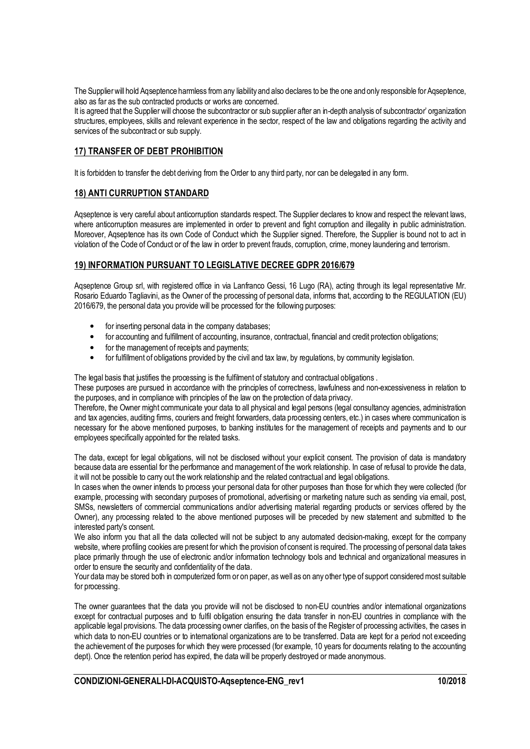The Supplier will hold Aqseptence harmless from any liability and also declares to be the one and only responsible for Aqseptence, also as far as the sub contracted products or works are concerned.

It is agreed that the Supplier will choose the subcontractor or sub supplier after an in-depth analysis of subcontractor' organization structures, employees, skills and relevant experience in the sector, respect of the law and obligations regarding the activity and services of the subcontract or sub supply.

### **17) TRANSFER OF DEBT PROHIBITION**

It is forbidden to transfer the debt deriving from the Order to any third party, nor can be delegated in any form.

#### **18) ANTI CURRUPTION STANDARD**

Aqseptence is very careful about anticorruption standards respect. The Supplier declares to know and respect the relevant laws, where anticorruption measures are implemented in order to prevent and fight corruption and illegality in public administration. Moreover, Aqseptence has its own Code of Conduct which the Supplier signed. Therefore, the Supplier is bound not to act in violation of the Code of Conduct or of the law in order to prevent frauds, corruption, crime, money laundering and terrorism.

#### **19) INFORMATION PURSUANT TO LEGISLATIVE DECREE GDPR 2016/679**

Aqseptence Group srl, with registered office in via Lanfranco Gessi, 16 Lugo (RA), acting through its legal representative Mr. Rosario Eduardo Tagliavini, as the Owner of the processing of personal data, informs that, according to the REGULATION (EU) 2016/679, the personal data you provide will be processed for the following purposes:

- for inserting personal data in the company databases;
- for accounting and fulfillment of accounting, insurance, contractual, financial and credit protection obligations;
- for the management of receipts and payments;
- for fulfillment of obligations provided by the civil and tax law, by regulations, by community legislation.

The legal basis that justifies the processing is the fulfilment of statutory and contractual obligations.

These purposes are pursued in accordance with the principles of correctness, lawfulness and non-excessiveness in relation to the purposes, and in compliance with principles of the law on the protection of data privacy.

Therefore, the Owner might communicate your data to all physical and legal persons (legal consultancy agencies, administration and tax agencies, auditing firms, couriers and freight forwarders, data processing centers, etc.) in cases where communication is necessary for the above mentioned purposes, to banking institutes for the management of receipts and payments and to our employees specifically appointed for the related tasks.

The data, except for legal obligations, will not be disclosed without your explicit consent. The provision of data is mandatory because data are essential for the performance and management of the work relationship. In case of refusal to provide the data, it will not be possible to carry out the work relationship and the related contractual and legal obligations.

In cases when the owner intends to process your personal data for other purposes than those for which they were collected (for example, processing with secondary purposes of promotional, advertising or marketing nature such as sending via email, post, SMSs, newsletters of commercial communications and/or advertising material regarding products or services offered by the Owner), any processing related to the above mentioned purposes will be preceded by new statement and submitted to the interested party's consent.

We also inform you that all the data collected will not be subject to any automated decision-making, except for the company website, where profiling cookies are present for which the provision of consent is required. The processing of personal data takes place primarily through the use of electronic and/or information technology tools and technical and organizational measures in order to ensure the security and confidentiality of the data.

Your data may be stored both in computerized form or on paper, as well as on any other type of support considered most suitable for processing.

The owner guarantees that the data you provide will not be disclosed to non-EU countries and/or international organizations except for contractual purposes and to fulfil obligation ensuring the data transfer in non-EU countries in compliance with the applicable legal provisions. The data processing owner clarifies, on the basis of the Register of processing activities, the cases in which data to non-EU countries or to international organizations are to be transferred. Data are kept for a period not exceeding the achievement of the purposes for which they were processed (for example, 10 years for documents relating to the accounting dept). Once the retention period has expired, the data will be properly destroyed or made anonymous.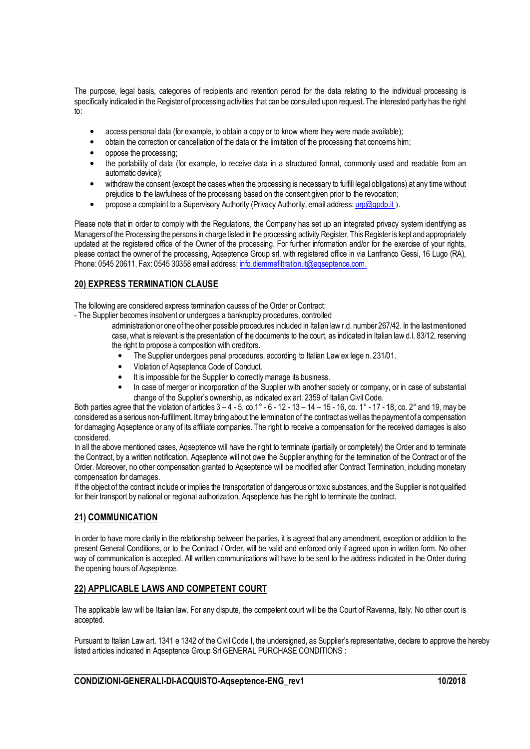The purpose, legal basis, categories of recipients and retention period for the data relating to the individual processing is specifically indicated in the Register of processing activities that can be consulted upon request. The interested party has the right to:

- access personal data (for example, to obtain a copy or to know where they were made available);
- obtain the correction or cancellation of the data or the limitation of the processing that concerns him;
- oppose the processing;
- the portability of data (for example, to receive data in a structured format, commonly used and readable from an automatic device);
- withdraw the consent (except the cases when the processing is necessary to fulfill legal obligations) at any time without prejudice to the lawfulness of the processing based on the consent given prior to the revocation;
- propose a complaint to a Supervisory Authority (Privacy Authority, email address: urp@gpdp.it).

Please note that in order to comply with the Regulations, the Company has set up an integrated privacy system identifying as Managers of the Processing the persons in charge listed in the processing activity Register. This Register is kept and appropriately updated at the registered office of the Owner of the processing. For further information and/or for the exercise of your rights, please contact the owner of the processing, Aqseptence Group srl, with registered office in via Lanfranco Gessi, 16 Lugo (RA), Phone: 0545 20611, Fax: 0545 30358 email address: info.diemmefiltration.it@aqseptence.com.

### **20) EXPRESS TERMINATION CLAUSE**

The following are considered express termination causes of the Order or Contract:

- The Supplier becomes insolvent or undergoes a bankruptcy procedures, controlled

- administration or one of the other possible procedures included in Italian law r.d. number 267/42. In the last mentioned case, what is relevant is the presentation of the documents to the court, as indicated in Italian law d.l. 83/12, reserving the right to propose a composition with creditors.
	- The Supplier undergoes penal procedures, according to Italian Law ex lege n. 231/01.
	- Violation of Aqseptence Code of Conduct.
	- It is impossible for the Supplier to correctly manage its business.
	- In case of merger or incorporation of the Supplier with another society or company, or in case of substantial change of the Supplier's ownership, as indicated ex art. 2359 of Italian Civil Code.

Both parties agree that the violation of articles  $3 - 4 - 5$ , co,  $1^{\circ}$  -  $6 - 12 - 13 - 14 - 15 - 16$ , co,  $1^{\circ}$  - 17 - 18, co,  $2^{\circ}$  and 19, may be considered as a serious non-fulfillment. It may bring about the termination of the contract as well as the payment of a compensation for damaging Agseptence or any of its affiliate companies. The right to receive a compensation for the received damages is also considered.

In all the above mentioned cases, Agseptence will have the right to terminate (partially or completely) the Order and to terminate the Contract, by a written notification. Aqseptence will not owe the Supplier anything for the termination of the Contract or of the Order. Moreover, no other compensation granted to Aqseptence will be modified after Contract Termination, including monetary compensation for damages.

If the object of the contract include or implies the transportation of dangerous or toxic substances, and the Supplier is not qualified for their transport by national or regional authorization, Aqseptence has the right to terminate the contract.

### **21) COMMUNICATION**

In order to have more clarity in the relationship between the parties, it is agreed that any amendment, exception or addition to the present General Conditions, or to the Contract / Order, will be valid and enforced only if agreed upon in written form. No other way of communication is accepted. All written communications will have to be sent to the address indicated in the Order during the opening hours of Aqseptence.

### **22) APPLICABLE LAWS AND COMPETENT COURT**

The applicable law will be Italian law. For any dispute, the competent court will be the Court of Ravenna, Italy. No other court is accepted.

Pursuant to Italian Law art. 1341 e 1342 of the Civil Code I, the undersigned, as Supplier's representative, declare to approve the hereby listed articles indicated in Aqseptence Group Srl GENERAL PURCHASE CONDITIONS :